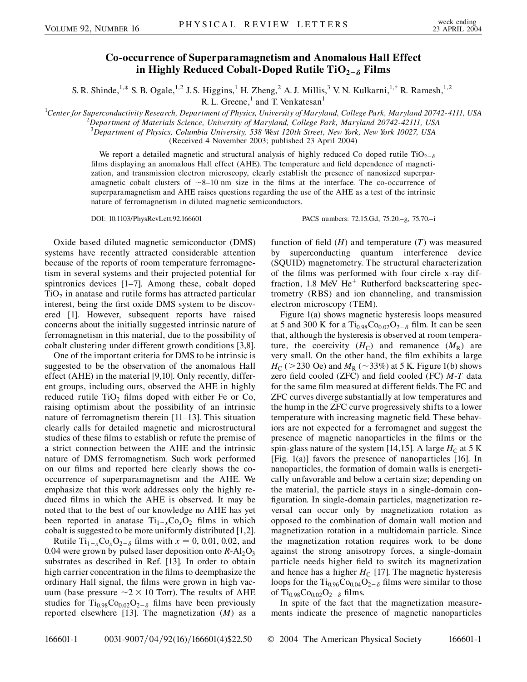## **Co-occurrence of Superparamagnetism and Anomalous Hall Effect** in Highly Reduced Cobalt-Doped Rutile  $TiO_{2-\delta}$  Films

S. R. Shinde,<sup>1,\*</sup> S. B. Ogale,<sup>1,2</sup> J. S. Higgins,<sup>1</sup> H. Zheng,<sup>2</sup> A. J. Millis,<sup>3</sup> V. N. Kulkarni,<sup>1,†</sup> R. Ramesh,<sup>1,2</sup>

R. L. Greene, $<sup>1</sup>$  and T. Venkatesan $<sup>1</sup>$ </sup></sup>

<sup>1</sup>Center for Superconductivity Research, Department of Physics, University of Maryland, College Park, Maryland 20742-4111, USA<br><sup>2</sup> Department of Materials Science, University of Maryland, College Park, Maryland 20742, 421

*Department of Materials Science, University of Maryland, College Park, Maryland 20742-42111, USA*

3 *Department of Physics, Columbia University, 538 West 120th Street, New York, New York 10027, USA* (Received 4 November 2003; published 23 April 2004)

We report a detailed magnetic and structural analysis of highly reduced Co doped rutile  $TiO_{2-\delta}$ films displaying an anomalous Hall effect (AHE). The temperature and field dependence of magnetization, and transmission electron microscopy, clearly establish the presence of nanosized superparamagnetic cobalt clusters of  $\sim$ 8–10 nm size in the films at the interface. The co-occurrence of superparamagnetism and AHE raises questions regarding the use of the AHE as a test of the intrinsic nature of ferromagnetism in diluted magnetic semiconductors.

DOI: 10.1103/PhysRevLett.92.166601 PACS numbers: 72.15.Gd, 75.20.–g, 75.70.–i

Oxide based diluted magnetic semiconductor (DMS) systems have recently attracted considerable attention because of the reports of room temperature ferromagnetism in several systems and their projected potential for spintronics devices [1–7]. Among these, cobalt doped  $TiO<sub>2</sub>$  in anatase and rutile forms has attracted particular interest, being the first oxide DMS system to be discovered [1]. However, subsequent reports have raised concerns about the initially suggested intrinsic nature of ferromagnetism in this material, due to the possibility of cobalt clustering under different growth conditions [3,8].

One of the important criteria for DMS to be intrinsic is suggested to be the observation of the anomalous Hall effect (AHE) in the material [9,10]. Only recently, different groups, including ours, observed the AHE in highly reduced rutile  $TiO<sub>2</sub>$  films doped with either Fe or Co, raising optimism about the possibility of an intrinsic nature of ferromagnetism therein [11–13]. This situation clearly calls for detailed magnetic and microstructural studies of these films to establish or refute the premise of a strict connection between the AHE and the intrinsic nature of DMS ferromagnetism. Such work performed on our films and reported here clearly shows the cooccurrence of superparamagnetism and the AHE. We emphasize that this work addresses only the highly reduced films in which the AHE is observed. It may be noted that to the best of our knowledge no AHE has yet been reported in anatase  $Ti_{1-x}Co_xO_2$  films in which cobalt is suggested to be more uniformly distributed [1,2].

Rutile  $\text{Ti}_{1-x}\text{Co}_x\text{O}_{2-\delta}$  films with  $x=0, 0.01, 0.02,$  and 0.04 were grown by pulsed laser deposition onto  $R$ -Al<sub>2</sub>O<sub>3</sub> substrates as described in Ref. [13]. In order to obtain high carrier concentration in the films to deemphasize the ordinary Hall signal, the films were grown in high vacuum (base pressure  $\sim$ 2  $\times$  10 Torr). The results of AHE studies for Ti<sub>0.98</sub>Co<sub>0.02</sub>O<sub>2- $\delta$ </sub> films have been previously reported elsewhere [13]. The magnetization (*M*) as a

function of field (*H*) and temperature (*T*) was measured by superconducting quantum interference device (SQUID) magnetometry. The structural characterization of the films was performed with four circle x-ray diffraction, 1.8 MeV  $He<sup>+</sup>$  Rutherford backscattering spectrometry (RBS) and ion channeling, and transmission electron microscopy (TEM).

Figure 1(a) shows magnetic hysteresis loops measured at 5 and 300 K for a  $Ti_{0.98}Co_{0.02}O_{2-\delta}$  film. It can be seen that, although the hysteresis is observed at room temperature, the coercivity  $(H_C)$  and remanence  $(M_R)$  are very small. On the other hand, the film exhibits a large  $H_C$  ( $>$  230 Oe) and  $M_R$  ( $\sim$  33%) at 5 K. Figure 1(b) shows zero field cooled (ZFC) and field cooled (FC) *M*-*T* data for the same film measured at different fields. The FC and ZFC curves diverge substantially at low temperatures and the hump in the ZFC curve progressively shifts to a lower temperature with increasing magnetic field. These behaviors are not expected for a ferromagnet and suggest the presence of magnetic nanoparticles in the films or the spin-glass nature of the system [14,15]. A large  $H_C$  at 5 K [Fig. 1(a)] favors the presence of nanoparticles [16]. In nanoparticles, the formation of domain walls is energetically unfavorable and below a certain size; depending on the material, the particle stays in a single-domain configuration. In single-domain particles, magnetization reversal can occur only by magnetization rotation as opposed to the combination of domain wall motion and magnetization rotation in a multidomain particle. Since the magnetization rotation requires work to be done against the strong anisotropy forces, a single-domain particle needs higher field to switch its magnetization and hence has a higher  $H_C$  [17]. The magnetic hysteresis loops for the Ti<sub>0.96</sub>Co<sub>0.04</sub>O<sub>2- $\delta$ </sub> films were similar to those of Ti<sub>0.98</sub>Co<sub>0.02</sub>O<sub>2- $\delta$ </sub> films.

In spite of the fact that the magnetization measurements indicate the presence of magnetic nanoparticles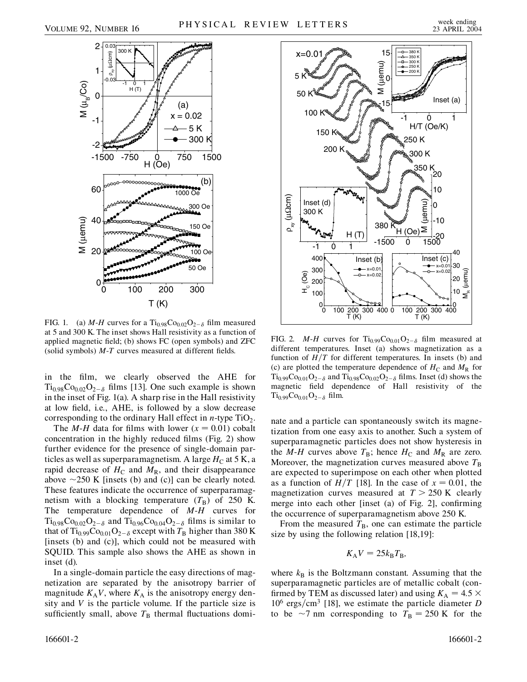

FIG. 1. (a)  $M$ - $H$  curves for a Ti<sub>0.98</sub>Co<sub>0.02</sub>O<sub>2- $\delta$ </sub> film measured at 5 and 300 K. The inset shows Hall resistivity as a function of applied magnetic field; (b) shows FC (open symbols) and ZFC (solid symbols) *M*-*T* curves measured at different fields.

in the film, we clearly observed the AHE for  $Ti_{0.98}Co_{0.02}O_{2-\delta}$  films [13]. One such example is shown in the inset of Fig. 1(a). A sharp rise in the Hall resistivity at low field, i.e., AHE, is followed by a slow decrease corresponding to the ordinary Hall effect in  $n$ -type  $TiO<sub>2</sub>$ .

The *M-H* data for films with lower  $(x = 0.01)$  cobalt concentration in the highly reduced films (Fig. 2) show further evidence for the presence of single-domain particles as well as superparamagnetism. A large  $H_C$  at 5 K, a rapid decrease of  $H_C$  and  $M_R$ , and their disappearance above  $\sim$ 250 K [insets (b) and (c)] can be clearly noted. These features indicate the occurrence of superparamagnetism with a blocking temperature  $(T_B)$  of 250 K. The temperature dependence of *M*-*H* curves for  $Ti_{0.98}Co_{0.02}O_{2-\delta}$  and  $Ti_{0.96}Co_{0.04}O_{2-\delta}$  films is similar to that of Ti<sub>0.99</sub>Co<sub>0.01</sub>O<sub>2- $\delta$ </sub> except with  $T_B$  higher than 380 K [insets (b) and (c)], which could not be measured with SQUID. This sample also shows the AHE as shown in inset (d).

In a single-domain particle the easy directions of magnetization are separated by the anisotropy barrier of magnitude  $K_A V$ , where  $K_A$  is the anisotropy energy density and *V* is the particle volume. If the particle size is sufficiently small, above  $T<sub>B</sub>$  thermal fluctuations domi-



FIG. 2. *M-H* curves for Ti<sub>0.99</sub>Co<sub>0.01</sub>O<sub>2- $\delta$ </sub> film measured at different temperatures. Inset (a) shows magnetization as a function of  $H/T$  for different temperatures. In insets (b) and (c) are plotted the temperature dependence of  $H_C$  and  $M_R$  for  $Ti_{0.99}Co_{0.01}O_{2-\delta}$  and  $Ti_{0.98}Co_{0.02}O_{2-\delta}$  films. Inset (d) shows the magnetic field dependence of Hall resistivity of the  $Ti_{0.99}Co_{0.01}O_{2-\delta}$  film.

nate and a particle can spontaneously switch its magnetization from one easy axis to another. Such a system of superparamagnetic particles does not show hysteresis in the *M*-*H* curves above  $T_B$ ; hence  $H_C$  and  $M_R$  are zero. Moreover, the magnetization curves measured above  $T_B$ are expected to superimpose on each other when plotted as a function of  $H/T$  [18]. In the case of  $x = 0.01$ , the magnetization curves measured at  $T > 250$  K clearly merge into each other [inset (a) of Fig. 2], confirming the occurrence of superparamagnetism above 250 K.

From the measured  $T_B$ , one can estimate the particle size by using the following relation [18,19]:

$$
K_{\rm A}V = 25k_{\rm B}T_{\rm B},
$$

where  $k<sub>B</sub>$  is the Boltzmann constant. Assuming that the superparamagnetic particles are of metallic cobalt (confirmed by TEM as discussed later) and using  $K_A = 4.5 \times$  $10^6$  ergs/cm<sup>3</sup> [18], we estimate the particle diameter *D* to be  $\sim$ 7 nm corresponding to  $T_B = 250$  K for the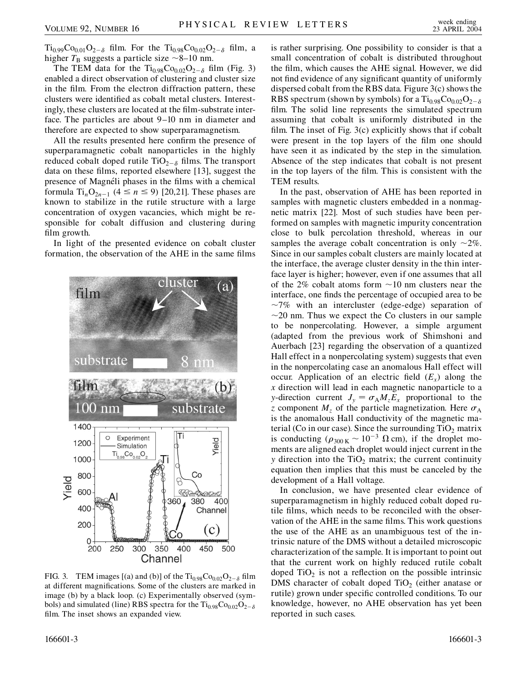$Ti_{0.99}Co_{0.01}O_{2-\delta}$  film. For the  $Ti_{0.98}Co_{0.02}O_{2-\delta}$  film, a higher  $T_B$  suggests a particle size  $\sim$ 8–10 nm.

The TEM data for the  $Ti_{0.98}Co_{0.02}O_{2-\delta}$  film (Fig. 3) enabled a direct observation of clustering and cluster size in the film. From the electron diffraction pattern, these clusters were identified as cobalt metal clusters. Interestingly, these clusters are located at the film-substrate interface. The particles are about 9–10 nm in diameter and therefore are expected to show superparamagnetism.

All the results presented here confirm the presence of superparamagnetic cobalt nanoparticles in the highly reduced cobalt doped rutile  $TiO_{2-\delta}$  films. The transport data on these films, reported elsewhere [13], suggest the presence of Magnéli phases in the films with a chemical formula Ti<sub>n</sub>O<sub>2n-1</sub> (4  $\leq$  n  $\leq$  9) [20,21]. These phases are known to stabilize in the rutile structure with a large concentration of oxygen vacancies, which might be responsible for cobalt diffusion and clustering during film growth.

In light of the presented evidence on cobalt cluster formation, the observation of the AHE in the same films



FIG. 3. TEM images [(a) and (b)] of the  $Ti_{0.98}Co_{0.02}O_{2-\delta}$  film at different magnifications. Some of the clusters are marked in image (b) by a black loop. (c) Experimentally observed (symbols) and simulated (line) RBS spectra for the  $Ti_{0.98}Co_{0.02}O_{2-\delta}$ film. The inset shows an expanded view.

is rather surprising. One possibility to consider is that a small concentration of cobalt is distributed throughout the film, which causes the AHE signal. However, we did not find evidence of any significant quantity of uniformly dispersed cobalt from the RBS data. Figure 3(c) shows the RBS spectrum (shown by symbols) for a  $Ti_{0.98}Co_{0.02}O_{2-\delta}$ film. The solid line represents the simulated spectrum assuming that cobalt is uniformly distributed in the film. The inset of Fig. 3(c) explicitly shows that if cobalt were present in the top layers of the film one should have seen it as indicated by the step in the simulation. Absence of the step indicates that cobalt is not present in the top layers of the film. This is consistent with the TEM results.

In the past, observation of AHE has been reported in samples with magnetic clusters embedded in a nonmagnetic matrix [22]. Most of such studies have been performed on samples with magnetic impurity concentration close to bulk percolation threshold, whereas in our samples the average cobalt concentration is only  $\sim$ 2%. Since in our samples cobalt clusters are mainly located at the interface, the average cluster density in the thin interface layer is higher; however, even if one assumes that all of the 2% cobalt atoms form  $\sim$ 10 nm clusters near the interface, one finds the percentage of occupied area to be  $\sim$ 7% with an intercluster (edge-edge) separation of  $\sim$  20 nm. Thus we expect the Co clusters in our sample to be nonpercolating. However, a simple argument (adapted from the previous work of Shimshoni and Auerbach [23] regarding the observation of a quantized Hall effect in a nonpercolating system) suggests that even in the nonpercolating case an anomalous Hall effect will occur. Application of an electric field  $(E<sub>x</sub>)$  along the *x* direction will lead in each magnetic nanoparticle to a *y*-direction current  $J_y = \sigma_A M_z E_x$  proportional to the *z* component  $M$ , of the particle magnetization. Here  $\sigma$ <sub>A</sub> is the anomalous Hall conductivity of the magnetic material (Co in our case). Since the surrounding  $TiO<sub>2</sub>$  matrix is conducting  $(\rho_{300 \text{ K}} \sim 10^{-3} \Omega \text{ cm})$ , if the droplet moments are aligned each droplet would inject current in the *y* direction into the  $TiO<sub>2</sub>$  matrix; the current continuity equation then implies that this must be canceled by the development of a Hall voltage.

In conclusion, we have presented clear evidence of superparamagnetism in highly reduced cobalt doped rutile films, which needs to be reconciled with the observation of the AHE in the same films. This work questions the use of the AHE as an unambiguous test of the intrinsic nature of the DMS without a detailed microscopic characterization of the sample. It is important to point out that the current work on highly reduced rutile cobalt doped  $TiO<sub>2</sub>$  is not a reflection on the possible intrinsic DMS character of cobalt doped  $TiO<sub>2</sub>$  (either anatase or rutile) grown under specific controlled conditions. To our knowledge, however, no AHE observation has yet been reported in such cases.